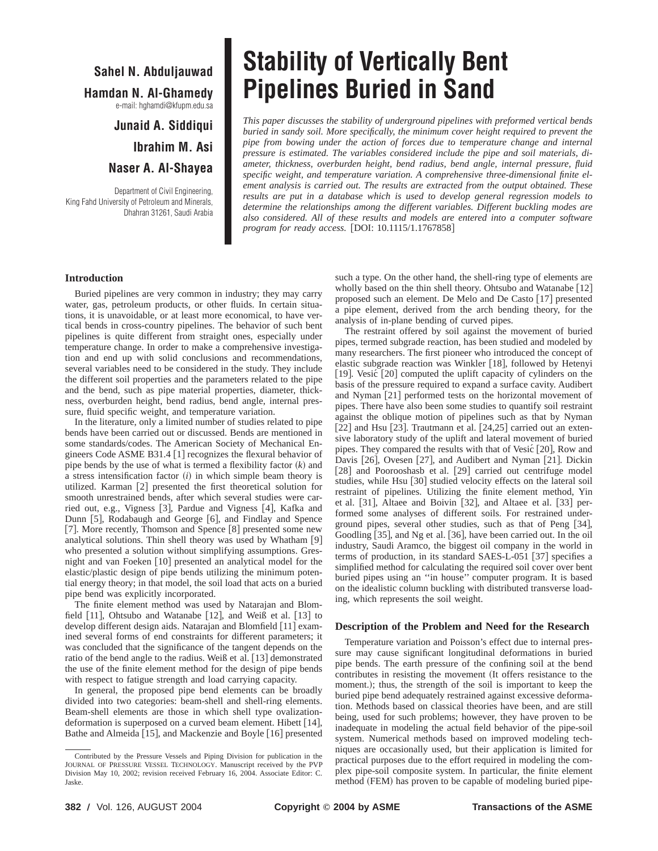# **Sahel N. Abduljauwad**

**Hamdan N. Al-Ghamedy** e-mail: hghamdi@kfupm.edu.sa

> **Junaid A. Siddiqui Ibrahim M. Asi Naser A. Al-Shayea**

Department of Civil Engineering, King Fahd University of Petroleum and Minerals, Dhahran 31261, Saudi Arabia

# **Stability of Vertically Bent Pipelines Buried in Sand**

*This paper discusses the stability of underground pipelines with preformed vertical bends buried in sandy soil. More specifically, the minimum cover height required to prevent the pipe from bowing under the action of forces due to temperature change and internal pressure is estimated. The variables considered include the pipe and soil materials, diameter, thickness, overburden height, bend radius, bend angle, internal pressure, fluid specific weight, and temperature variation. A comprehensive three-dimensional finite element analysis is carried out. The results are extracted from the output obtained. These results are put in a database which is used to develop general regression models to determine the relationships among the different variables. Different buckling modes are also considered. All of these results and models are entered into a computer software program for ready access.* [DOI: 10.1115/1.1767858]

# **Introduction**

Buried pipelines are very common in industry; they may carry water, gas, petroleum products, or other fluids. In certain situations, it is unavoidable, or at least more economical, to have vertical bends in cross-country pipelines. The behavior of such bent pipelines is quite different from straight ones, especially under temperature change. In order to make a comprehensive investigation and end up with solid conclusions and recommendations, several variables need to be considered in the study. They include the different soil properties and the parameters related to the pipe and the bend, such as pipe material properties, diameter, thickness, overburden height, bend radius, bend angle, internal pressure, fluid specific weight, and temperature variation.

In the literature, only a limited number of studies related to pipe bends have been carried out or discussed. Bends are mentioned in some standards/codes. The American Society of Mechanical Engineers Code ASME B31.4 [1] recognizes the flexural behavior of pipe bends by the use of what is termed a flexibility factor  $(k)$  and a stress intensification factor  $(i)$  in which simple beam theory is utilized. Karman  $\lceil 2 \rceil$  presented the first theoretical solution for smooth unrestrained bends, after which several studies were carried out, e.g., Vigness [3], Pardue and Vigness [4], Kafka and Dunn [5], Rodabaugh and George [6], and Findlay and Spence [7]. More recently, Thomson and Spence [8] presented some new analytical solutions. Thin shell theory was used by Whatham  $[9]$ who presented a solution without simplifying assumptions. Gresnight and van Foeken [10] presented an analytical model for the elastic/plastic design of pipe bends utilizing the minimum potential energy theory; in that model, the soil load that acts on a buried pipe bend was explicitly incorporated.

The finite element method was used by Natarajan and Blomfield  $[11]$ , Ohtsubo and Watanabe  $[12]$ , and Weiß et al.  $[13]$  to develop different design aids. Natarajan and Blomfield [11] examined several forms of end constraints for different parameters; it was concluded that the significance of the tangent depends on the ratio of the bend angle to the radius. Weiß et al.  $\lceil 13 \rceil$  demonstrated the use of the finite element method for the design of pipe bends with respect to fatigue strength and load carrying capacity.

In general, the proposed pipe bend elements can be broadly divided into two categories: beam-shell and shell-ring elements. Beam-shell elements are those in which shell type ovalizationdeformation is superposed on a curved beam element. Hibett  $[14]$ , Bathe and Almeida [15], and Mackenzie and Boyle [16] presented

such a type. On the other hand, the shell-ring type of elements are wholly based on the thin shell theory. Ohtsubo and Watanabe  $[12]$ proposed such an element. De Melo and De Casto [17] presented a pipe element, derived from the arch bending theory, for the analysis of in-plane bending of curved pipes.

The restraint offered by soil against the movement of buried pipes, termed subgrade reaction, has been studied and modeled by many researchers. The first pioneer who introduced the concept of elastic subgrade reaction was Winkler [18], followed by Hetenyi [19]. Vesic $[20]$  computed the uplift capacity of cylinders on the basis of the pressure required to expand a surface cavity. Audibert and Nyman [21] performed tests on the horizontal movement of pipes. There have also been some studies to quantify soil restraint against the oblique motion of pipelines such as that by Nyman [22] and Hsu [23]. Trautmann et al.  $[24,25]$  carried out an extensive laboratory study of the uplift and lateral movement of buried pipes. They compared the results with that of Vesić  $[20]$ , Row and Davis [26], Ovesen [27], and Audibert and Nyman [21]. Dickin [28] and Poorooshasb et al. [29] carried out centrifuge model studies, while Hsu [30] studied velocity effects on the lateral soil restraint of pipelines. Utilizing the finite element method, Yin et al. [31], Altaee and Boivin [32], and Altaee et al. [33] performed some analyses of different soils. For restrained underground pipes, several other studies, such as that of Peng [34], Goodling [35], and Ng et al. [36], have been carried out. In the oil industry, Saudi Aramco, the biggest oil company in the world in terms of production, in its standard SAES-L-051  $\lceil 37 \rceil$  specifies a simplified method for calculating the required soil cover over bent buried pipes using an ''in house'' computer program. It is based on the idealistic column buckling with distributed transverse loading, which represents the soil weight.

# **Description of the Problem and Need for the Research**

Temperature variation and Poisson's effect due to internal pressure may cause significant longitudinal deformations in buried pipe bends. The earth pressure of the confining soil at the bend contributes in resisting the movement (It offers resistance to the moment.); thus, the strength of the soil is important to keep the buried pipe bend adequately restrained against excessive deformation. Methods based on classical theories have been, and are still being, used for such problems; however, they have proven to be inadequate in modeling the actual field behavior of the pipe-soil system. Numerical methods based on improved modeling techniques are occasionally used, but their application is limited for practical purposes due to the effort required in modeling the complex pipe-soil composite system. In particular, the finite element method (FEM) has proven to be capable of modeling buried pipe-

Contributed by the Pressure Vessels and Piping Division for publication in the JOURNAL OF PRESSURE VESSEL TECHNOLOGY. Manuscript received by the PVP Division May 10, 2002; revision received February 16, 2004. Associate Editor: C. Jaske.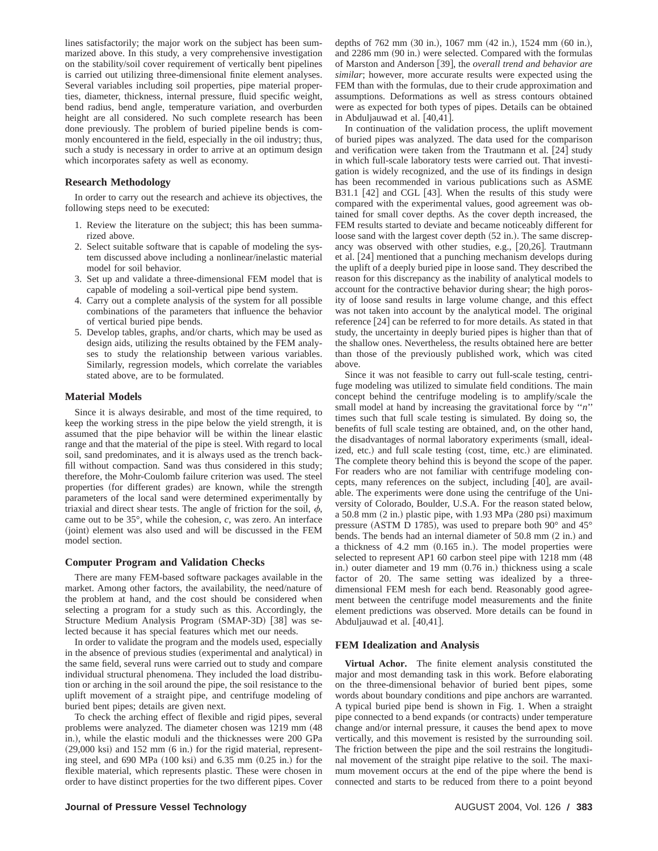lines satisfactorily; the major work on the subject has been summarized above. In this study, a very comprehensive investigation on the stability/soil cover requirement of vertically bent pipelines is carried out utilizing three-dimensional finite element analyses. Several variables including soil properties, pipe material properties, diameter, thickness, internal pressure, fluid specific weight, bend radius, bend angle, temperature variation, and overburden height are all considered. No such complete research has been done previously. The problem of buried pipeline bends is commonly encountered in the field, especially in the oil industry; thus, such a study is necessary in order to arrive at an optimum design which incorporates safety as well as economy.

## **Research Methodology**

In order to carry out the research and achieve its objectives, the following steps need to be executed:

- 1. Review the literature on the subject; this has been summarized above.
- 2. Select suitable software that is capable of modeling the system discussed above including a nonlinear/inelastic material model for soil behavior.
- 3. Set up and validate a three-dimensional FEM model that is capable of modeling a soil-vertical pipe bend system.
- 4. Carry out a complete analysis of the system for all possible combinations of the parameters that influence the behavior of vertical buried pipe bends.
- 5. Develop tables, graphs, and/or charts, which may be used as design aids, utilizing the results obtained by the FEM analyses to study the relationship between various variables. Similarly, regression models, which correlate the variables stated above, are to be formulated.

## **Material Models**

Since it is always desirable, and most of the time required, to keep the working stress in the pipe below the yield strength, it is assumed that the pipe behavior will be within the linear elastic range and that the material of the pipe is steel. With regard to local soil, sand predominates, and it is always used as the trench backfill without compaction. Sand was thus considered in this study; therefore, the Mohr-Coulomb failure criterion was used. The steel properties (for different grades) are known, while the strength parameters of the local sand were determined experimentally by triaxial and direct shear tests. The angle of friction for the soil,  $\phi$ , came out to be 35°, while the cohesion, *c*, was zero. An interface (joint) element was also used and will be discussed in the FEM model section.

## **Computer Program and Validation Checks**

There are many FEM-based software packages available in the market. Among other factors, the availability, the need/nature of the problem at hand, and the cost should be considered when selecting a program for a study such as this. Accordingly, the Structure Medium Analysis Program (SMAP-3D) [38] was selected because it has special features which met our needs.

In order to validate the program and the models used, especially in the absence of previous studies (experimental and analytical) in the same field, several runs were carried out to study and compare individual structural phenomena. They included the load distribution or arching in the soil around the pipe, the soil resistance to the uplift movement of a straight pipe, and centrifuge modeling of buried bent pipes; details are given next.

To check the arching effect of flexible and rigid pipes, several problems were analyzed. The diameter chosen was 1219 mm  $(48)$ in.), while the elastic moduli and the thicknesses were 200 GPa  $(29,000 \text{ ksi})$  and  $152 \text{ mm}$   $(6 \text{ in.})$  for the rigid material, representing steel, and  $690$  MPa  $(100 \text{ ksi})$  and  $6.35 \text{ mm}$   $(0.25 \text{ in.})$  for the flexible material, which represents plastic. These were chosen in order to have distinct properties for the two different pipes. Cover depths of 762 mm  $(30 \text{ in.})$ , 1067 mm  $(42 \text{ in.})$ , 1524 mm  $(60 \text{ in.})$ , and  $2286$  mm  $(90)$  in.) were selected. Compared with the formulas of Marston and Anderson [39], the *overall trend and behavior are similar*; however, more accurate results were expected using the FEM than with the formulas, due to their crude approximation and assumptions. Deformations as well as stress contours obtained were as expected for both types of pipes. Details can be obtained in Abduljauwad et al.  $[40,41]$ .

In continuation of the validation process, the uplift movement of buried pipes was analyzed. The data used for the comparison and verification were taken from the Trautmann et al.  $[24]$  study in which full-scale laboratory tests were carried out. That investigation is widely recognized, and the use of its findings in design has been recommended in various publications such as ASME B31.1  $[42]$  and CGL  $[43]$ . When the results of this study were compared with the experimental values, good agreement was obtained for small cover depths. As the cover depth increased, the FEM results started to deviate and became noticeably different for loose sand with the largest cover depth (52 in.). The same discrepancy was observed with other studies, e.g., [20,26]. Trautmann et al. [24] mentioned that a punching mechanism develops during the uplift of a deeply buried pipe in loose sand. They described the reason for this discrepancy as the inability of analytical models to account for the contractive behavior during shear; the high porosity of loose sand results in large volume change, and this effect was not taken into account by the analytical model. The original reference [24] can be referred to for more details. As stated in that study, the uncertainty in deeply buried pipes is higher than that of the shallow ones. Nevertheless, the results obtained here are better than those of the previously published work, which was cited above.

Since it was not feasible to carry out full-scale testing, centrifuge modeling was utilized to simulate field conditions. The main concept behind the centrifuge modeling is to amplify/scale the small model at hand by increasing the gravitational force by ''*n*'' times such that full scale testing is simulated. By doing so, the benefits of full scale testing are obtained, and, on the other hand, the disadvantages of normal laboratory experiments (small, idealized, etc.) and full scale testing (cost, time, etc.) are eliminated. The complete theory behind this is beyond the scope of the paper. For readers who are not familiar with centrifuge modeling concepts, many references on the subject, including  $[40]$ , are available. The experiments were done using the centrifuge of the University of Colorado, Boulder, U.S.A. For the reason stated below, a 50.8 mm  $(2 \text{ in.})$  plastic pipe, with 1.93 MPa  $(280 \text{ psi})$  maximum pressure (ASTM D 1785), was used to prepare both  $90^{\circ}$  and  $45^{\circ}$ bends. The bends had an internal diameter of  $50.8$  mm  $(2 \text{ in.})$  and a thickness of  $4.2$  mm  $(0.165$  in.). The model properties were selected to represent AP1  $60$  carbon steel pipe with  $1218$  mm  $(48)$ in.) outer diameter and  $19$  mm  $(0.76$  in.) thickness using a scale factor of 20. The same setting was idealized by a threedimensional FEM mesh for each bend. Reasonably good agreement between the centrifuge model measurements and the finite element predictions was observed. More details can be found in Abduljauwad et al. [40,41].

#### **FEM Idealization and Analysis**

**Virtual Achor.** The finite element analysis constituted the major and most demanding task in this work. Before elaborating on the three-dimensional behavior of buried bent pipes, some words about boundary conditions and pipe anchors are warranted. A typical buried pipe bend is shown in Fig. 1. When a straight pipe connected to a bend expands (or contracts) under temperature change and/or internal pressure, it causes the bend apex to move vertically, and this movement is resisted by the surrounding soil. The friction between the pipe and the soil restrains the longitudinal movement of the straight pipe relative to the soil. The maximum movement occurs at the end of the pipe where the bend is connected and starts to be reduced from there to a point beyond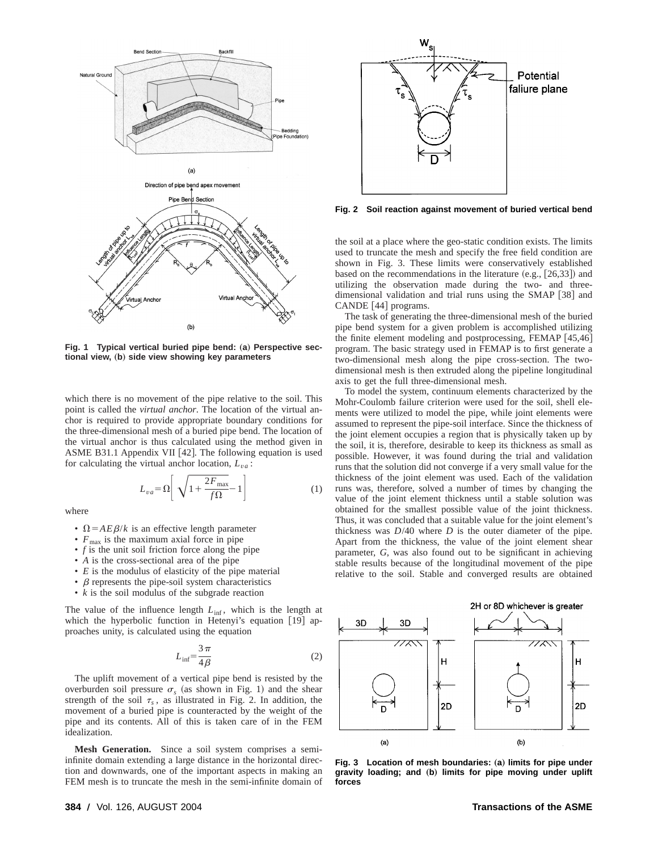

Fig. 1 Typical vertical buried pipe bend: (a) Perspective sectional view, (b) side view showing key parameters

which there is no movement of the pipe relative to the soil. This point is called the *virtual anchor*. The location of the virtual anchor is required to provide appropriate boundary conditions for the three-dimensional mesh of a buried pipe bend. The location of the virtual anchor is thus calculated using the method given in ASME B31.1 Appendix VII [42]. The following equation is used for calculating the virtual anchor location,  $L_{va}$ :

$$
L_{va} = \Omega \left[ \sqrt{1 + \frac{2F_{\text{max}}}{f\Omega}} - 1 \right]
$$
 (1)

where

- $\Omega = A E \beta / k$  is an effective length parameter
- $F_{\text{max}}$  is the maximum axial force in pipe
- *f* is the unit soil friction force along the pipe
- *A* is the cross-sectional area of the pipe
- *E* is the modulus of elasticity of the pipe material
- $\beta$  represents the pipe-soil system characteristics
- *k* is the soil modulus of the subgrade reaction

The value of the influence length  $L_{\text{inf}}$ , which is the length at which the hyperbolic function in Hetenyi's equation [19] approaches unity, is calculated using the equation

$$
L_{\text{inf}} = \frac{3\,\pi}{4\,\beta} \tag{2}
$$

The uplift movement of a vertical pipe bend is resisted by the overburden soil pressure  $\sigma_s$  (as shown in Fig. 1) and the shear strength of the soil  $\tau_s$ , as illustrated in Fig. 2. In addition, the movement of a buried pipe is counteracted by the weight of the pipe and its contents. All of this is taken care of in the FEM idealization.

**Mesh Generation.** Since a soil system comprises a semiinfinite domain extending a large distance in the horizontal direction and downwards, one of the important aspects in making an FEM mesh is to truncate the mesh in the semi-infinite domain of



**Fig. 2 Soil reaction against movement of buried vertical bend**

the soil at a place where the geo-static condition exists. The limits used to truncate the mesh and specify the free field condition are shown in Fig. 3. These limits were conservatively established based on the recommendations in the literature  $(e.g., [26,33])$  and utilizing the observation made during the two- and threedimensional validation and trial runs using the SMAP [38] and CANDE [44] programs.

The task of generating the three-dimensional mesh of the buried pipe bend system for a given problem is accomplished utilizing the finite element modeling and postprocessing, FEMAP  $[45,46]$ program. The basic strategy used in FEMAP is to first generate a two-dimensional mesh along the pipe cross-section. The twodimensional mesh is then extruded along the pipeline longitudinal axis to get the full three-dimensional mesh.

To model the system, continuum elements characterized by the Mohr-Coulomb failure criterion were used for the soil, shell elements were utilized to model the pipe, while joint elements were assumed to represent the pipe-soil interface. Since the thickness of the joint element occupies a region that is physically taken up by the soil, it is, therefore, desirable to keep its thickness as small as possible. However, it was found during the trial and validation runs that the solution did not converge if a very small value for the thickness of the joint element was used. Each of the validation runs was, therefore, solved a number of times by changing the value of the joint element thickness until a stable solution was obtained for the smallest possible value of the joint thickness. Thus, it was concluded that a suitable value for the joint element's thickness was  $D/40$  where  $D$  is the outer diameter of the pipe. Apart from the thickness, the value of the joint element shear parameter, *G*, was also found out to be significant in achieving stable results because of the longitudinal movement of the pipe relative to the soil. Stable and converged results are obtained



Fig. 3 Location of mesh boundaries: (a) limits for pipe under gravity loading; and (b) limits for pipe moving under uplift **forces**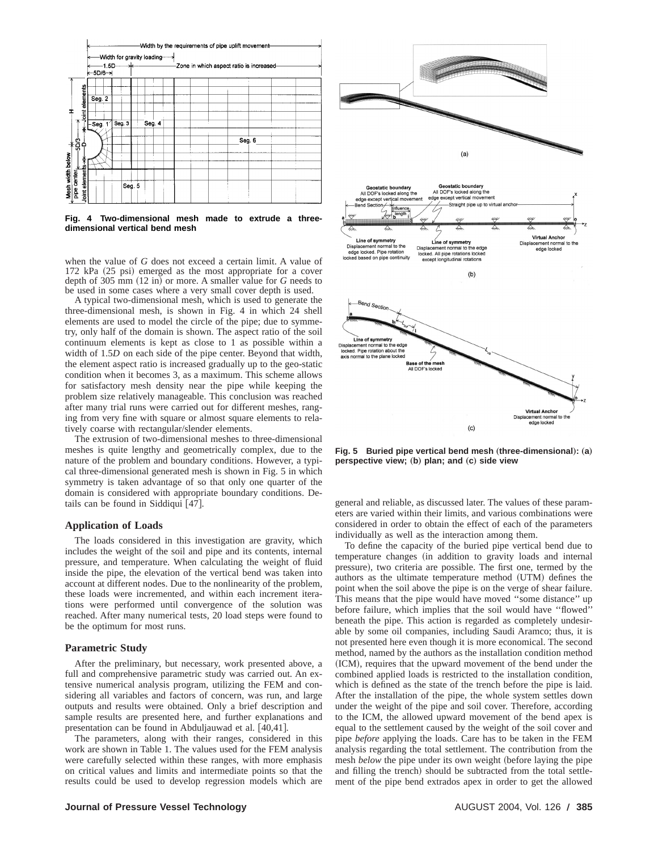

**Fig. 4 Two-dimensional mesh made to extrude a threedimensional vertical bend mesh**

when the value of *G* does not exceed a certain limit. A value of  $172$  kPa  $(25 \text{ psi})$  emerged as the most appropriate for a cover depth of  $305 \text{ mm}$   $(12 \text{ in})$  or more. A smaller value for *G* needs to be used in some cases where a very small cover depth is used.

A typical two-dimensional mesh, which is used to generate the three-dimensional mesh, is shown in Fig. 4 in which 24 shell elements are used to model the circle of the pipe; due to symmetry, only half of the domain is shown. The aspect ratio of the soil continuum elements is kept as close to 1 as possible within a width of 1.5*D* on each side of the pipe center. Beyond that width, the element aspect ratio is increased gradually up to the geo-static condition when it becomes 3, as a maximum. This scheme allows for satisfactory mesh density near the pipe while keeping the problem size relatively manageable. This conclusion was reached after many trial runs were carried out for different meshes, ranging from very fine with square or almost square elements to relatively coarse with rectangular/slender elements.

The extrusion of two-dimensional meshes to three-dimensional meshes is quite lengthy and geometrically complex, due to the nature of the problem and boundary conditions. However, a typical three-dimensional generated mesh is shown in Fig. 5 in which symmetry is taken advantage of so that only one quarter of the domain is considered with appropriate boundary conditions. Details can be found in Siddiqui  $[47]$ .

# **Application of Loads**

The loads considered in this investigation are gravity, which includes the weight of the soil and pipe and its contents, internal pressure, and temperature. When calculating the weight of fluid inside the pipe, the elevation of the vertical bend was taken into account at different nodes. Due to the nonlinearity of the problem, these loads were incremented, and within each increment iterations were performed until convergence of the solution was reached. After many numerical tests, 20 load steps were found to be the optimum for most runs.

#### **Parametric Study**

After the preliminary, but necessary, work presented above, a full and comprehensive parametric study was carried out. An extensive numerical analysis program, utilizing the FEM and considering all variables and factors of concern, was run, and large outputs and results were obtained. Only a brief description and sample results are presented here, and further explanations and presentation can be found in Abduljauwad et al.  $[40,41]$ .

The parameters, along with their ranges, considered in this work are shown in Table 1. The values used for the FEM analysis were carefully selected within these ranges, with more emphasis on critical values and limits and intermediate points so that the results could be used to develop regression models which are



**Fig. 5** Buried pipe vertical bend mesh (three-dimensional): (a) **perspective view;** (b) plan; and (c) side view

general and reliable, as discussed later. The values of these parameters are varied within their limits, and various combinations were considered in order to obtain the effect of each of the parameters individually as well as the interaction among them.

To define the capacity of the buried pipe vertical bend due to temperature changes (in addition to gravity loads and internal pressure), two criteria are possible. The first one, termed by the authors as the ultimate temperature method (UTM) defines the point when the soil above the pipe is on the verge of shear failure. This means that the pipe would have moved ''some distance'' up before failure, which implies that the soil would have ''flowed'' beneath the pipe. This action is regarded as completely undesirable by some oil companies, including Saudi Aramco; thus, it is not presented here even though it is more economical. The second method, named by the authors as the installation condition method (ICM), requires that the upward movement of the bend under the combined applied loads is restricted to the installation condition, which is defined as the state of the trench before the pipe is laid. After the installation of the pipe, the whole system settles down under the weight of the pipe and soil cover. Therefore, according to the ICM, the allowed upward movement of the bend apex is equal to the settlement caused by the weight of the soil cover and pipe *before* applying the loads. Care has to be taken in the FEM analysis regarding the total settlement. The contribution from the mesh *below* the pipe under its own weight (before laying the pipe and filling the trench) should be subtracted from the total settlement of the pipe bend extrados apex in order to get the allowed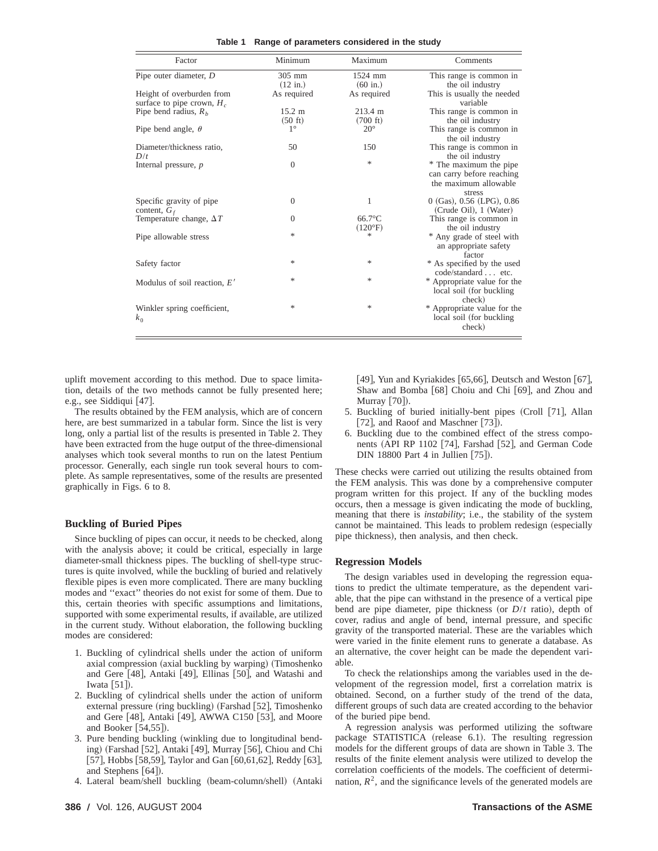| Table 1                                                   | Range of parameters considered in the study |                                      |                                                                                        |  |  |  |
|-----------------------------------------------------------|---------------------------------------------|--------------------------------------|----------------------------------------------------------------------------------------|--|--|--|
| Factor                                                    | Minimum                                     | Maximum                              | Comments                                                                               |  |  |  |
| Pipe outer diameter, D                                    | 305 mm<br>$(12$ in.)                        | 1524 mm<br>(60 in.)                  | This range is common in<br>the oil industry                                            |  |  |  |
| Height of overburden from<br>surface to pipe crown, $H_c$ | As required                                 | As required                          | This is usually the needed<br>variable                                                 |  |  |  |
| Pipe bend radius, $R_h$                                   | $15.2 \;{\rm m}$<br>$(50 \text{ ft})$       | 213.4 m<br>$(700 \text{ ft})$        | This range is common in<br>the oil industry                                            |  |  |  |
| Pipe bend angle, $\theta$                                 | $1^{\circ}$                                 | $20^{\circ}$                         | This range is common in<br>the oil industry                                            |  |  |  |
| Diameter/thickness ratio.<br>D/t                          | 50                                          | 150                                  | This range is common in<br>the oil industry                                            |  |  |  |
| Internal pressure, p                                      | $\theta$                                    | *                                    | * The maximum the pipe<br>can carry before reaching<br>the maximum allowable<br>stress |  |  |  |
| Specific gravity of pipe<br>content, $G_f$                | $\theta$                                    | 1                                    | $0$ (Gas), 0.56 (LPG), 0.86<br>(Crude Oil), 1 (Water)                                  |  |  |  |
| Temperature change, $\Delta T$                            | $\theta$                                    | $66.7^{\circ}$ C<br>$(120^{\circ}F)$ | This range is common in<br>the oil industry                                            |  |  |  |
| Pipe allowable stress                                     | *                                           | *                                    | * Any grade of steel with<br>an appropriate safety<br>factor                           |  |  |  |
| Safety factor                                             | ∗                                           | *                                    | * As specified by the used<br>code/standard etc.                                       |  |  |  |
| Modulus of soil reaction, $E'$                            | *                                           | *                                    | * Appropriate value for the<br>local soil (for buckling)<br>check)                     |  |  |  |
| Winkler spring coefficient,<br>$k_0$                      | $\ast$                                      | *                                    | * Appropriate value for the<br>local soil (for buckling)<br>check)                     |  |  |  |

uplift movement according to this method. Due to space limitation, details of the two methods cannot be fully presented here; e.g., see Siddiqui [47].

The results obtained by the FEM analysis, which are of concern here, are best summarized in a tabular form. Since the list is very long, only a partial list of the results is presented in Table 2. They have been extracted from the huge output of the three-dimensional analyses which took several months to run on the latest Pentium processor. Generally, each single run took several hours to complete. As sample representatives, some of the results are presented graphically in Figs. 6 to 8.

# **Buckling of Buried Pipes**

Since buckling of pipes can occur, it needs to be checked, along with the analysis above; it could be critical, especially in large diameter-small thickness pipes. The buckling of shell-type structures is quite involved, while the buckling of buried and relatively flexible pipes is even more complicated. There are many buckling modes and ''exact'' theories do not exist for some of them. Due to this, certain theories with specific assumptions and limitations, supported with some experimental results, if available, are utilized in the current study. Without elaboration, the following buckling modes are considered:

- 1. Buckling of cylindrical shells under the action of uniform axial compression (axial buckling by warping) (Timoshenko and Gere [48], Antaki [49], Ellinas [50], and Watashi and Iwata  $[51]$ ).
- 2. Buckling of cylindrical shells under the action of uniform external pressure (ring buckling) (Farshad  $[52]$ , Timoshenko and Gere  $[48]$ , Antaki  $[49]$ , AWWA C150  $[53]$ , and Moore and Booker  $[54,55]$ .
- 3. Pure bending buckling (winkling due to longitudinal bending) (Farshad [52], Antaki [49], Murray [56], Chiou and Chi [57], Hobbs [58,59], Taylor and Gan [60,61,62], Reddy [63], and Stephens  $[64]$ .
- 4. Lateral beam/shell buckling (beam-column/shell) (Antaki

[49], Yun and Kyriakides [65,66], Deutsch and Weston [67], Shaw and Bomba [68] Choiu and Chi [69], and Zhou and Murray [70]).

- 5. Buckling of buried initially-bent pipes  $(Croll [71]$ , Allan [72], and Raoof and Maschner  $[73]$ .
- 6. Buckling due to the combined effect of the stress components (API RP 1102 [74], Farshad [52], and German Code DIN 18800 Part 4 in Jullien [75]).

These checks were carried out utilizing the results obtained from the FEM analysis. This was done by a comprehensive computer program written for this project. If any of the buckling modes occurs, then a message is given indicating the mode of buckling, meaning that there is *instability*; i.e., the stability of the system cannot be maintained. This leads to problem redesign (especially pipe thickness), then analysis, and then check.

# **Regression Models**

The design variables used in developing the regression equations to predict the ultimate temperature, as the dependent variable, that the pipe can withstand in the presence of a vertical pipe bend are pipe diameter, pipe thickness (or  $D/t$  ratio), depth of cover, radius and angle of bend, internal pressure, and specific gravity of the transported material. These are the variables which were varied in the finite element runs to generate a database. As an alternative, the cover height can be made the dependent variable.

To check the relationships among the variables used in the development of the regression model, first a correlation matrix is obtained. Second, on a further study of the trend of the data, different groups of such data are created according to the behavior of the buried pipe bend.

A regression analysis was performed utilizing the software package STATISTICA (release  $6.1$ ). The resulting regression models for the different groups of data are shown in Table 3. The results of the finite element analysis were utilized to develop the correlation coefficients of the models. The coefficient of determination,  $R^2$ , and the significance levels of the generated models are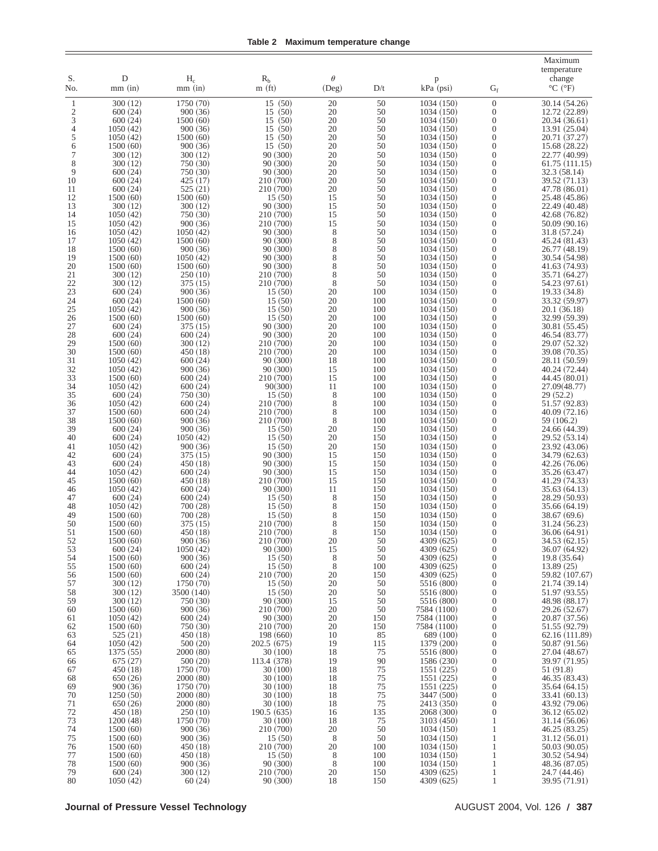| S.<br>No.                    | D<br>$mm$ (in)       | $H_c$<br>$mm$ (in)      | $R_{b}$<br>m(f <sub>t</sub> ) | $\theta$<br>$($ Deg $)$ | D/t        | p<br>$kPa$ (psi)           | $G_f$                            | Maximum<br>temperature<br>change<br>$^{\circ}$ C ( $^{\circ}$ F) |
|------------------------------|----------------------|-------------------------|-------------------------------|-------------------------|------------|----------------------------|----------------------------------|------------------------------------------------------------------|
| $\mathbf{1}$                 | 300(12)              | 1750 (70)               | 15(50)                        | 20                      | 50         | 1034 (150)                 | $\mathbf{0}$                     | 30.14 (54.26)                                                    |
| $\overline{\mathbf{c}}$<br>3 | 600(24)<br>600(24)   | 900(36)<br>1500(60)     | (50)<br>15<br>(50)<br>15      | 20<br>20                | 50<br>50   | 1034 (150)<br>1034 (150)   | $\mathbf{0}$<br>$\mathbf{0}$     | 12.72 (22.89)<br>20.34(36.61)                                    |
| $\overline{4}$               | 1050(42)             | 900(36)                 | 15(50)                        | 20                      | 50         | 1034 (150)                 | $\mathbf{0}$                     | 13.91 (25.04)                                                    |
| 5                            | 1050(42)             | 1500(60)                | 15(50)                        | 20                      | 50         | 1034(150)                  | $\boldsymbol{0}$                 | 20.71 (37.27)                                                    |
| 6<br>7                       | 1500(60)<br>300(12)  | 900(36)<br>300(12)      | 15(50)<br>90 (300)            | 20<br>20                | 50<br>50   | 1034 (150)<br>1034 (150)   | $\mathbf{0}$<br>$\mathbf{0}$     | 15.68 (28.22)<br>22.77 (40.99)                                   |
| 8                            | 300 (12)             | 750 (30)                | 90(300)                       | 20                      | 50         | 1034 (150)                 | $\overline{0}$                   | 61.75(111.15)                                                    |
| 9                            | 600(24)              | 750 (30)                | 90 (300)                      | 20                      | 50         | 1034 (150)                 | $\mathbf{0}$                     | 32.3 (58.14)                                                     |
| 10                           | 600(24)              | 425(17)                 | 210 (700)                     | 20                      | 50         | 1034 (150)                 | $\mathbf{0}$                     | 39.52 (71.13)                                                    |
| 11<br>12                     | 600(24)<br>1500(60)  | 525(21)<br>1500(60)     | 210 (700)<br>15(50)           | 20<br>15                | 50<br>50   | 1034 (150)<br>1034 (150)   | $\overline{0}$<br>$\mathbf{0}$   | 47.78 (86.01)<br>25.48 (45.86)                                   |
| 13                           | 300 (12)             | 300(12)                 | 90(300)                       | 15                      | 50         | 1034 (150)                 | $\mathbf{0}$                     | 22.49 (40.48)                                                    |
| 14                           | 1050(42)             | 750 (30)                | 210 (700)                     | 15<br>15                | 50<br>50   | 1034(150)                  | $\overline{0}$                   | 42.68 (76.82)                                                    |
| 15<br>16                     | 1050(42)<br>1050(42) | 900(36)<br>1050(42)     | 210 (700)<br>90 (300)         | $\,$ 8 $\,$             | 50         | 1034 (150)<br>1034 (150)   | $\mathbf{0}$<br>$\mathbf{0}$     | 50.09 (90.16)<br>31.8 (57.24)                                    |
| 17                           | 1050(42)             | 1500(60)                | 90 (300)                      | 8                       | 50         | 1034 (150)                 | $\overline{0}$                   | 45.24 (81.43)                                                    |
| 18<br>19                     | 1500(60)             | 900(36)<br>1050(42)     | 90 (300)<br>90 (300)          | 8<br>8                  | 50<br>50   | 1034 (150)<br>1034 (150)   | $\mathbf{0}$<br>$\mathbf{0}$     | 26.77 (48.19)<br>30.54 (54.98)                                   |
| 20                           | 1500(60)<br>1500(60) | 1500(60)                | 90 (300)                      | 8                       | 50         | 1034 (150)                 | $\overline{0}$                   | 41.63 (74.93)                                                    |
| 21                           | 300(12)              | 250(10)                 | 210 (700)                     | 8                       | 50         | 1034 (150)                 | $\mathbf{0}$                     | 35.71 (64.27)                                                    |
| 22<br>23                     | 300(12)<br>600(24)   | 375(15)<br>900(36)      | 210 (700)<br>15(50)           | 8<br>20                 | 50<br>100  | 1034 (150)<br>1034(150)    | $\mathbf{0}$<br>$\overline{0}$   | 54.23 (97.61)<br>19.33 (34.8)                                    |
| 24                           | 600(24)              | 1500(60)                | 15(50)                        | 20                      | 100        | 1034(150)                  | $\mathbf{0}$                     | 33.32 (59.97)                                                    |
| 25                           | 1050(42)             | 900(36)                 | 15(50)                        | 20                      | 100        | 1034(150)                  | $\mathbf{0}$                     | 20.1 (36.18)                                                     |
| 26<br>27                     | 1500(60)<br>600(24)  | 1500(60)<br>375 (15)    | 15(50)<br>90 (300)            | 20<br>20                | 100<br>100 | 1034(150)<br>1034 (150)    | $\overline{0}$<br>$\mathbf{0}$   | 32.99 (59.39)<br>30.81 (55.45)                                   |
| 28                           | 600(24)              | 600(24)                 | 90 (300)                      | 20                      | 100        | 1034(150)                  | $\mathbf{0}$                     | 46.54 (83.77)                                                    |
| 29                           | 1500(60)             | 300(12)                 | 210(700)                      | 20                      | 100        | 1034(150)                  | $\overline{0}$                   | 29.07 (52.32)                                                    |
| 30<br>31                     | 1500(60)<br>1050(42) | 450 (18)<br>600(24)     | 210 (700)<br>90(300)          | 20<br>18                | 100<br>100 | 1034 (150)<br>1034(150)    | $\mathbf{0}$<br>$\mathbf{0}$     | 39.08 (70.35)<br>28.11 (50.59)                                   |
| 32                           | 1050(42)             | 900(36)                 | 90 (300)                      | 15                      | 100        | 1034(150)                  | $\overline{0}$                   | 40.24 (72.44)                                                    |
| $33$<br>$34$                 | 1500(60)             | 600(24)                 | 210 (700)                     | 15                      | 100        | 1034 (150)                 | $\mathbf{0}$                     | 44.45 (80.01)                                                    |
| 35                           | 1050(42)<br>600(24)  | 600(24)<br>750 (30)     | 90(300)<br>15(50)             | 11<br>8                 | 100<br>100 | 1034(150)<br>1034(150)     | $\mathbf{0}$<br>$\overline{0}$   | 27.09(48.77)<br>29(52.2)                                         |
| 36                           | 1050(42)             | 600(24)                 | 210 (700)                     | 8                       | 100        | 1034 (150)                 | $\mathbf{0}$                     | 51.57 (92.83)                                                    |
| 37                           | 1500(60)             | 600(24)                 | 210 (700)                     | 8                       | 100        | 1034 (150)                 | $\mathbf{0}$                     | 40.09(72.16)                                                     |
| 38<br>39                     | 1500(60)<br>600(24)  | 900(36)<br>900(36)      | 210 (700)<br>15(50)           | 8<br>20                 | 100<br>150 | 1034(150)<br>1034 (150)    | $\theta$<br>$\boldsymbol{0}$     | 59 (106.2)<br>24.66 (44.39)                                      |
| 40                           | 600(24)              | 1050(42)                | 15(50)                        | 20                      | 150        | 1034(150)                  | $\mathbf{0}$                     | 29.52 (53.14)                                                    |
| 41                           | 1050(42)             | 900(36)                 | 15(50)                        | 20                      | 150        | 1034(150)                  | $\theta$                         | 23.92 (43.06)                                                    |
| 42<br>43                     | 600(24)<br>600(24)   | 375 (15)<br>450(18)     | 90 (300)<br>90 (300)          | 15<br>15                | 150<br>150 | 1034 (150)<br>1034 (150)   | $\boldsymbol{0}$<br>$\mathbf{0}$ | 34.79 (62.63)<br>42.26 (76.06)                                   |
| 44                           | 1050(42)             | 600(24)                 | 90 (300)                      | 15                      | 150        | 1034(150)                  | $\overline{0}$                   | 35.26 (63.47)                                                    |
| 45                           | 1500(60)             | 450 (18)                | 210 (700)                     | 15                      | 150        | 1034 (150)                 | $\boldsymbol{0}$                 | 41.29 (74.33)                                                    |
| 46<br>47                     | 1050(42)<br>600(24)  | 600(24)<br>600(24)      | 90 (300)<br>15(50)            | 11<br>8                 | 150<br>150 | 1034(150)<br>1034(150)     | $\mathbf{0}$<br>$\overline{0}$   | 35.63 (64.13)<br>28.29 (50.93)                                   |
| 48                           | 1050(42)             | 700 (28)                | 15(50)                        | 8                       | 150        | 1034 (150)                 | $\boldsymbol{0}$                 | 35.66 (64.19)                                                    |
| 49                           | 1500(60)             | 700(28)                 | 15(50)                        | 8                       | 150        | 1034(150)                  | $\mathbf{0}$                     | 38.67(69.6)                                                      |
| 50<br>51                     | 1500(60)<br>1500(60) | 375(15)<br>450 (18)     | 210(700)<br>210 (700)         | 8<br>8                  | 150<br>150 | 1034(150)<br>1034 (150)    | $\Omega$<br>$\overline{0}$       | 31.24 (56.23)<br>36.06 (64.91)                                   |
| 52                           | 1500(60)             | 900(36)                 | 210 (700)                     | 20                      | 50         | 4309 (625)                 | $\mathbf{0}$                     | 34.53 (62.15)                                                    |
| 53                           | 600(24)              | 1050(42)                | 90 (300)                      | 15                      | 50         | 4309 (625)                 | $\overline{0}$                   | 36.07 (64.92)                                                    |
| 54<br>55                     | 1500(60)<br>1500(60) | 900(36)<br>600(24)      | 15(50)<br>15(50)              | 8<br>8                  | 50<br>100  | 4309 (625)<br>4309 (625)   | $\mathbf{0}$<br>$\mathbf{0}$     | 19.8 (35.64)<br>13.89(25)                                        |
| 56                           | 1500(60)             | 600(24)                 | 210 (700)                     | 20                      | 150        | 4309 (625)                 | $\Omega$                         | 59.82 (107.67)                                                   |
| 57<br>58                     | 300(12)<br>300(12)   | 1750 (70)<br>3500 (140) | 15(50)<br>15(50)              | 20<br>20                | 50<br>50   | 5516 (800)<br>5516 (800)   | $\mathbf{0}$<br>0                | 21.74 (39.14)<br>51.97 (93.55)                                   |
| 59                           | 300(12)              | 750 (30)                | 90 (300)                      | 15                      | 50         | 5516 (800)                 | $\theta$                         | 48.98 (88.17)                                                    |
| 60                           | 1500(60)             | 900(36)                 | 210 (700)                     | 20                      | 50         | 7584 (1100)                | $\theta$                         | 29.26 (52.67)                                                    |
| 61<br>62                     | 1050(42)<br>1500(60) | 600(24)<br>750 (30)     | 90 (300)<br>210(700)          | 20<br>20                | 150<br>150 | 7584 (1100)<br>7584 (1100) | $\boldsymbol{0}$<br>$\theta$     | 20.87 (37.56)<br>51.55 (92.79)                                   |
| 63                           | 525(21)              | 450(18)                 | 198 (660)                     | 10                      | 85         | 689 (100)                  | $\boldsymbol{0}$                 | 62.16 (111.89)                                                   |
| 64                           | 1050(42)             | 500(20)                 | 202.5(675)                    | 19                      | 115        | 1379 (200)                 | 0                                | 50.87 (91.56)                                                    |
| 65<br>66                     | 1375 (55)<br>675(27) | 2000 (80)<br>500(20)    | 30(100)<br>113.4 (378)        | 18<br>19                | 75<br>90   | 5516 (800)<br>1586 (230)   | $\theta$<br>$\theta$             | 27.04 (48.67)<br>39.97 (71.95)                                   |
| 67                           | 450 (18)             | 1750 (70)               | 30 (100)                      | 18                      | 75         | 1551 (225)                 | $\boldsymbol{0}$                 | 51 (91.8)                                                        |
| 68                           | 650 (26)             | 2000 (80)               | 30 (100)                      | 18                      | 75         | 1551 (225)                 | $\theta$                         | 46.35 (83.43)                                                    |
| 69<br>70                     | 900 (36)<br>1250(50) | 1750 (70)<br>2000 (80)  | 30(100)<br>30(100)            | 18<br>18                | 75<br>75   | 1551 (225)<br>3447 (500)   | $\theta$<br>$\boldsymbol{0}$     | 35.64 (64.15)<br>33.41 (60.13)                                   |
| 71                           | 650(26)              | 2000 (80)               | 30(100)                       | 18                      | 75         | 2413 (350)                 | $\theta$                         | 43.92 (79.06)                                                    |
| 72                           | 450(18)              | 250(10)                 | 190.5(635)                    | 16                      | 135        | 2068 (300)                 | $\theta$                         | 36.12 (65.02)                                                    |
| 73<br>74                     | 1200(48)<br>1500(60) | 1750 (70)<br>900(36)    | 30(100)<br>210 (700)          | 18<br>20                | 75<br>50   | 3103 (450)<br>1034 (150)   | 1<br>1                           | 31.14 (56.06)<br>46.25 (83.25)                                   |
| 75                           | 1500(60)             | 900(36)                 | 15(50)                        | 8                       | 50         | 1034(150)                  | 1                                | 31.12(56.01)                                                     |
| 76                           | 1500(60)             | 450(18)                 | 210 (700)                     | 20                      | 100        | 1034(150)                  | 1                                | 50.03 (90.05)                                                    |
| 77<br>78                     | 1500(60)<br>1500(60) | 450(18)<br>900(36)      | 15(50)<br>90(300)             | 8<br>8                  | 100<br>100 | 1034 (150)<br>1034(150)    | 1                                | 30.52 (54.94)<br>48.36 (87.05)                                   |
| 79                           | 600(24)              | 300(12)                 | 210 (700)                     | 20                      | 150        | 4309 (625)                 | 1                                | 24.7 (44.46)                                                     |
| 80                           | 1050(42)             | 60(24)                  | 90(300)                       | 18                      | 150        | 4309 (625)                 | 1                                | 39.95 (71.91)                                                    |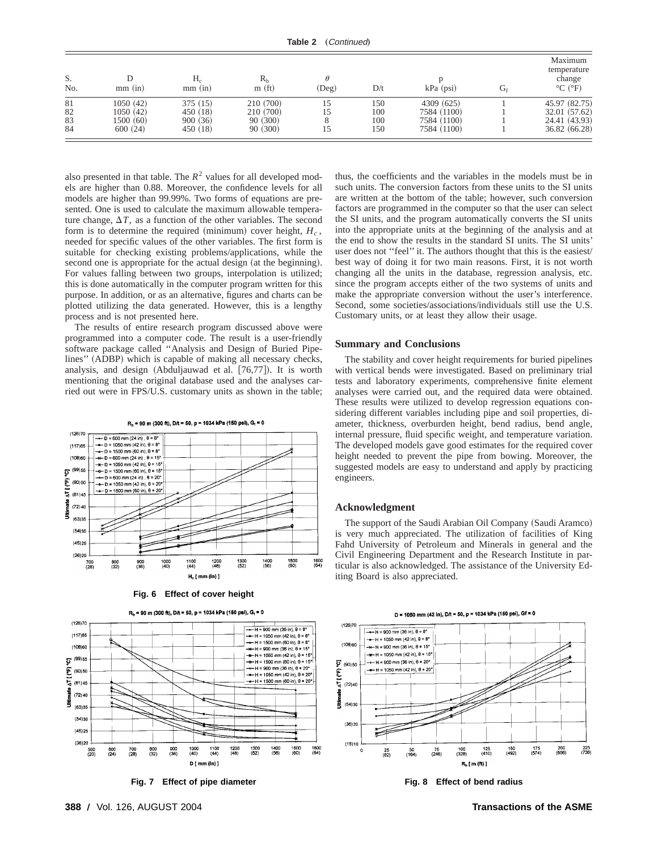| S.<br>No. | $mm$ (in) | mm(1n)   | R,<br>m(f <sub>t</sub> ) | $($ Deg $)$ | D/t | $kPa$ (psi) | $\mathrm{G}_\mathrm{f}$ | Maximum<br>temperature<br>change<br>$\rm{^{\circ}C}$ ( $\rm{^{\circ}F}$ ) |
|-----------|-----------|----------|--------------------------|-------------|-----|-------------|-------------------------|---------------------------------------------------------------------------|
| 81        | 1050(42)  | 375(15)  | 210 (700)                | 15          | 150 | 4309 (625)  |                         | 45.97 (82.75)                                                             |
| 82        | 1050(42)  | 450 (18) | 210 (700)                |             | 100 | 7584 (1100) |                         | 32.01 (57.62)                                                             |
| 83        | 1500 (60) | 900(36)  | 90 (300)                 |             | 100 | 7584 (1100) |                         | 24.41 (43.93)                                                             |
| 84        | 600(24)   | 450 (18) | 90 (300)                 |             | 150 | 7584 (1100) |                         | 36.82(66.28)                                                              |

also presented in that table. The  $R^2$  values for all developed models are higher than 0.88. Moreover, the confidence levels for all models are higher than 99.99%. Two forms of equations are presented. One is used to calculate the maximum allowable temperature change,  $\Delta T$ , as a function of the other variables. The second form is to determine the required (minimum) cover height,  $H_c$ , needed for specific values of the other variables. The first form is suitable for checking existing problems/applications, while the second one is appropriate for the actual design (at the beginning). For values falling between two groups, interpolation is utilized; this is done automatically in the computer program written for this purpose. In addition, or as an alternative, figures and charts can be plotted utilizing the data generated. However, this is a lengthy process and is not presented here.

The results of entire research program discussed above were programmed into a computer code. The result is a user-friendly software package called ''Analysis and Design of Buried Pipelines" (ADBP) which is capable of making all necessary checks, analysis, and design  $(Abduljauwad et al. [76,77])$ . It is worth mentioning that the original database used and the analyses carried out were in FPS/U.S. customary units as shown in the table;



**Fig. 6 Effect of cover height**



 $(126)70$  $H = 900$  mm (36 in),  $\theta = 8^{\circ}$  $(117)85$  $-H = 1050$  mm (42 in),  $\theta = 8^{\circ}$  $-H = 1500$  mm (60 in),  $\theta = 8^{\circ}$  $(108)6$  $H = 900$  mm (36 in),  $\theta = 15^{\circ}$  $-H = 1050$  mm (42 in),  $\theta =$  $5^{(99)55}$ e - H = 1500 mm (60 in),  $\theta$  = 15 - H = 900 mm (36 in), θ = 20° € (90) 50 1050 mm (42 in),  $\theta = 20^\circ$ ā  $(81)4$ - H = 1500 mm (60 in), θ = 20'  $(72)40$  $(63)35$  $(54)30$  $(45)25$  $(36)$ 1500<br>(60) 1600<br>(64) 1200<br>(48) 1300<br>(52) 1400<br>(56)  $\frac{900}{(36)}$ 1100<br>(44) 500<br>(20)  $600$ <br> $(24)$ 700<br>(28) 800<br>(32) 1000<br>(40)  $D$  [ mm (ln) ]

**Fig. 7 Effect of pipe diameter Fig. 8 Effect of bend radius**

thus, the coefficients and the variables in the models must be in such units. The conversion factors from these units to the SI units are written at the bottom of the table; however, such conversion factors are programmed in the computer so that the user can select the SI units, and the program automatically converts the SI units into the appropriate units at the beginning of the analysis and at the end to show the results in the standard SI units. The SI units' user does not ''feel'' it. The authors thought that this is the easiest/ best way of doing it for two main reasons. First, it is not worth changing all the units in the database, regression analysis, etc. since the program accepts either of the two systems of units and make the appropriate conversion without the user's interference. Second, some societies/associations/individuals still use the U.S. Customary units, or at least they allow their usage.

#### **Summary and Conclusions**

The stability and cover height requirements for buried pipelines with vertical bends were investigated. Based on preliminary trial tests and laboratory experiments, comprehensive finite element analyses were carried out, and the required data were obtained. These results were utilized to develop regression equations considering different variables including pipe and soil properties, diameter, thickness, overburden height, bend radius, bend angle, internal pressure, fluid specific weight, and temperature variation. The developed models gave good estimates for the required cover height needed to prevent the pipe from bowing. Moreover, the suggested models are easy to understand and apply by practicing engineers.

#### **Acknowledgment**

The support of the Saudi Arabian Oil Company (Saudi Aramco) is very much appreciated. The utilization of facilities of King Fahd University of Petroleum and Minerals in general and the Civil Engineering Department and the Research Institute in particular is also acknowledged. The assistance of the University Editing Board is also appreciated.

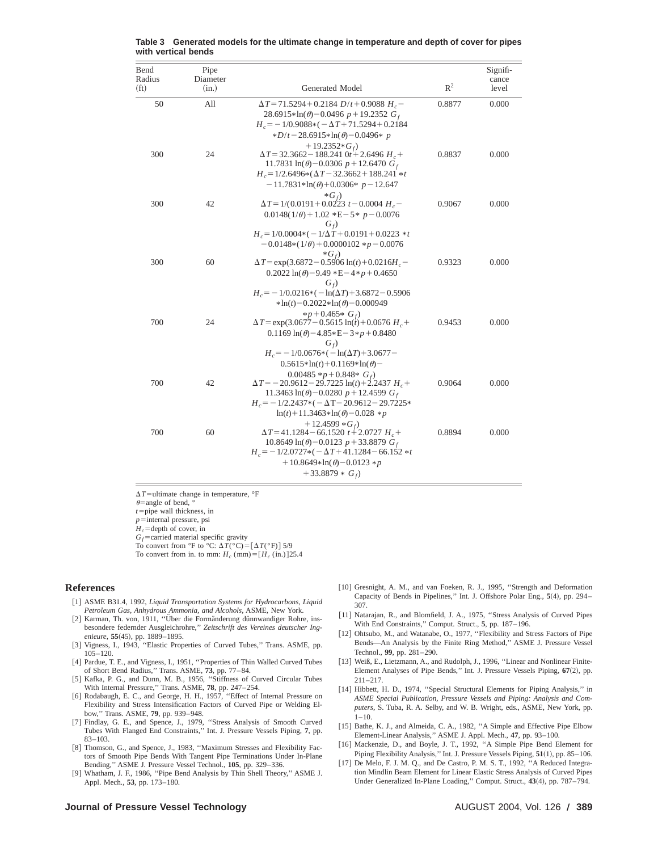| Bend<br>Radius<br>(f <sub>t</sub> ) | Pipe<br>Diameter<br>(in.) | Generated Model                                                                                                                                                                                                                                     | $R^2$  | Signifi-<br>cance<br>level |
|-------------------------------------|---------------------------|-----------------------------------------------------------------------------------------------------------------------------------------------------------------------------------------------------------------------------------------------------|--------|----------------------------|
| 50                                  | All                       | $\Delta T$ = 71.5294 + 0.2184 D/t + 0.9088 H <sub>c</sub> –<br>28.6915*ln( $\theta$ )-0.0496 p + 19.2352 $G_f$<br>$H_c = -1/0.9088*(-\Delta T + 71.5294 + 0.2184$<br>$D/t - 28.6915 * ln(\theta) - 0.0496 * p$<br>+ 19.2352* $G_f$ )                | 0.8877 | 0.000                      |
| 300                                 | 24                        | $\Delta T$ = 32.3662 – 188.241 0t + 2.6496 $H_c$ +<br>11.7831 $ln(\theta)$ – 0.0306 p + 12.6470 $G_f$<br>$H_c = 1/2.6496*(\Delta T - 32.3662 + 188.241*t$<br>$-11.7831*ln(\theta)+0.0306* p-12.647$                                                 | 0.8837 | 0.000                      |
| 300                                 | 42                        | $*G_f$<br>$\Delta T = 1/(0.0191 + 0.0223 t - 0.0004 H_c -$<br>$0.0148(1/\theta) + 1.02 *E - 5 * p - 0.0076$<br>$G_f$<br>$H_c = 1/0.0004*(-1/\Delta T + 0.0191 + 0.0223*t$<br>$-0.0148*(1/\theta) + 0.0000102*p - 0.0076$                            | 0.9067 | 0.000                      |
| 300                                 | 60                        | $*G_f$<br>$\Delta T = \exp(3.6872 - 0.5906 \ln(t) + 0.0216H_c -$<br>$0.2022 \ln(\theta) - 9.49 * E - 4 * p + 0.4650$<br>$G_f$<br>$H_c = -1/0.0216*(-ln(\Delta T) + 3.6872 - 0.5906$<br>$*\ln(t) - 0.2022*\ln(\theta) - 0.000949$                    | 0.9323 | 0.000                      |
| 700                                 | 24                        | $*_{p} + 0.465* G_{f}$<br>$\Delta T = \exp(3.0677 - 0.5615 \ln(t) + 0.0676 H_{c} +$<br>$0.1169 \ln(\theta) - 4.85 \cdot E - 3 \cdot p + 0.8480$<br>$G_f$<br>$H_c = -1/0.0676*(-\ln(\Delta T)+3.0677-$<br>$0.5615*\ln(t)+0.1169*\ln(\theta)$         | 0.9453 | 0.000                      |
| 700                                 | 42                        | $0.00485*p+0.848*Gf$<br>$\Delta T = -20.9612 - 29.7225 \ln(t) + 2.2437 H_c +$<br>11.3463 $ln(\theta)$ – 0.0280 $p$ + 12.4599 $G_f$<br>$H_c = -1/2.2437*(-\Delta T - 20.9612 - 29.7225*)$<br>$\ln(t) + 11.3463 * \ln(\theta) - 0.028 * p$            | 0.9064 | 0.000                      |
| 700                                 | 60                        | $+12.4599 * Gf$<br>$\Delta T$ = 41.1284 – 66.1520 t + 2.0727 H <sub>c</sub> +<br>10.8649 $ln(\theta)$ – 0.0123 $p + 33.8879$ $G_f$<br>$H_c = -1/2.0727*(-\Delta T + 41.1284 - 66.152*t$<br>+ 10.8649*ln( $\theta$ ) - 0.0123 *p<br>$+33.8879 * G_f$ | 0.8894 | 0.000                      |

**Table 3 Generated models for the ultimate change in temperature and depth of cover for pipes with vertical bends**

 $\Delta T$ =ultimate change in temperature,  $\mathrm{P}F$ 

 $\theta$ =angle of bend,

 $t$ =pipe wall thickness, in

 $p$ =internal pressure, psi

 $H_c$ =depth of cover, in

 $G_f$ =carried material specific gravity

To convert from °F to °C:  $\Delta T$ (°C) =  $[\Delta T$ (°F)  $]$  5/9

To convert from in. to mm:  $H_c$  (mm) =  $[H_c$  (in.) ]25.4

#### **References**

- [1] ASME B31.4, 1992, *Liquid Transportation Systems for Hydrocarbons, Liquid Petroleum Gas, Anhydrous Ammonia, and Alcohols*, ASME, New York.
- [2] Karman, Th. von, 1911, "Über die Formänderung dünnwandiger Rohre, insbesondere federnder Ausgleichrohre,'' *Zeitschrift des Vereines deutscher Ing-*
- enieure, **55**(45), pp. 1889–1895.<br>
[3] Vigness, I., 1943, "Elastic Properties of Curved Tubes," Trans. ASME, pp. 105–120.
- [4] Pardue, T. E., and Vigness, I., 1951, "Properties of Thin Walled Curved Tubes of Short Bend Radius,'' Trans. ASME, **73**, pp. 77–84.
- [5] Kafka, P. G., and Dunn, M. B., 1956, "Stiffness of Curved Circular Tubes With Internal Pressure," Trans. ASME, **78**, pp. 247–254.<br>[6] Rodabaugh, E. C., and George, H. H., 1957, "Effect of Internal Pressure on
- Flexibility and Stress Intensification Factors of Curved Pipe or Welding Elbow,'' Trans. ASME, **79**, pp. 939–948.
- [7] Findlay, G. E., and Spence, J., 1979, "Stress Analysis of Smooth Curved Tubes With Flanged End Constraints,'' Int. J. Pressure Vessels Piping, **7**, pp. 83–103.
- [8] Thomson, G., and Spence, J., 1983, "Maximum Stresses and Flexibility Factors of Smooth Pipe Bends With Tangent Pipe Terminations Under In-Plane Bending,'' ASME J. Pressure Vessel Technol., **105**, pp. 329–336.
- [9] Whatham, J. F., 1986, "Pipe Bend Analysis by Thin Shell Theory," ASME J. Appl. Mech., **53**, pp. 173–180.
- [10] Gresnight, A. M., and van Foeken, R. J., 1995, "Strength and Deformation Capacity of Bends in Pipelines," Int. J. Offshore Polar Eng.,  $\mathbf{5}(4)$ , pp. 294– 307.
- [11] Natarajan, R., and Blomfield, J. A., 1975, "Stress Analysis of Curved Pipes With End Constraints,'' Comput. Struct., **5**, pp. 187–196.
- [12] Ohtsubo, M., and Watanabe, O., 1977, "Flexibility and Stress Factors of Pipe Bends—An Analysis by the Finite Ring Method,'' ASME J. Pressure Vessel Technol., **99**, pp. 281–290.
- [13] Weiß, E., Lietzmann, A., and Rudolph, J., 1996, "Linear and Nonlinear Finite-Element Analyses of Pipe Bends," Int. J. Pressure Vessels Piping,  $67(2)$ , pp. 211–217.
- [14] Hibbett, H. D., 1974, "Special Structural Elements for Piping Analysis," in *ASME Special Publication, Pressure Vessels and Piping: Analysis and Computers*, S. Tuba, R. A. Selby, and W. B. Wright, eds., ASME, New York, pp. 1–10.
- [15] Bathe, K. J., and Almeida, C. A., 1982, "A Simple and Effective Pipe Elbow Element-Linear Analysis,'' ASME J. Appl. Mech., **47**, pp. 93–100.
- [16] Mackenzie, D., and Boyle, J. T., 1992, "A Simple Pipe Bend Element for Piping Flexibility Analysis," Int. J. Pressure Vessels Piping,  $51(1)$ , pp. 85–106.
- [17] De Melo, F. J. M. Q., and De Castro, P. M. S. T., 1992, "A Reduced Integration Mindlin Beam Element for Linear Elastic Stress Analysis of Curved Pipes Under Generalized In-Plane Loading," Comput. Struct., 43(4), pp. 787-794.

# **Journal of Pressure Vessel Technology AUGUST 2004, Vol. 126 / 389**